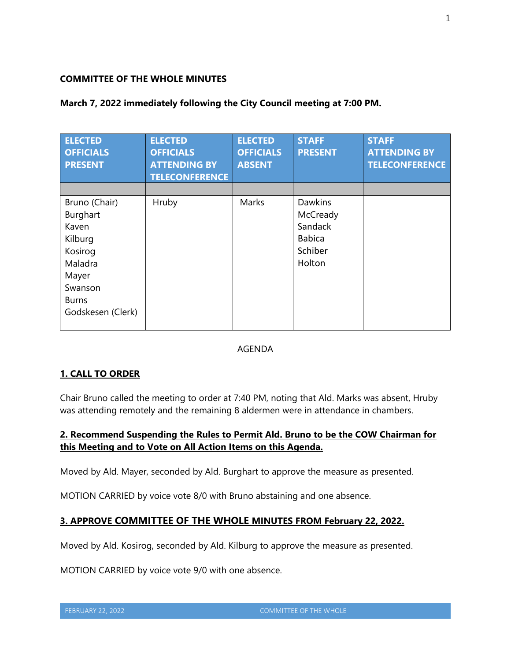### **COMMITTEE OF THE WHOLE MINUTES**

| <b>ELECTED</b><br><b>OFFICIALS</b><br><b>PRESENT</b>                                                                         | <b>ELECTED</b><br><b>OFFICIALS</b><br><b>ATTENDING BY</b><br><b>TELECONFERENCE</b> | <b>ELECTED</b><br><b>OFFICIALS</b><br><b>ABSENT</b> | <b>STAFF</b><br><b>PRESENT</b>                                              | <b>STAFF</b><br><b>ATTENDING BY</b><br><b>TELECONFERENCE</b> |
|------------------------------------------------------------------------------------------------------------------------------|------------------------------------------------------------------------------------|-----------------------------------------------------|-----------------------------------------------------------------------------|--------------------------------------------------------------|
| Bruno (Chair)<br>Burghart<br>Kaven<br>Kilburg<br>Kosirog<br>Maladra<br>Mayer<br>Swanson<br><b>Burns</b><br>Godskesen (Clerk) | Hruby                                                                              | Marks                                               | <b>Dawkins</b><br>McCready<br>Sandack<br><b>Babica</b><br>Schiber<br>Holton |                                                              |

### **March 7, 2022 immediately following the City Council meeting at 7:00 PM.**

### AGENDA

# **1. CALL TO ORDER**

Chair Bruno called the meeting to order at 7:40 PM, noting that Ald. Marks was absent, Hruby was attending remotely and the remaining 8 aldermen were in attendance in chambers.

# **2. Recommend Suspending the Rules to Permit Ald. Bruno to be the COW Chairman for this Meeting and to Vote on All Action Items on this Agenda.**

Moved by Ald. Mayer, seconded by Ald. Burghart to approve the measure as presented.

MOTION CARRIED by voice vote 8/0 with Bruno abstaining and one absence.

# **3. APPROVE COMMITTEE OF THE WHOLE MINUTES FROM February 22, 2022.**

Moved by Ald. Kosirog, seconded by Ald. Kilburg to approve the measure as presented.

MOTION CARRIED by voice vote 9/0 with one absence.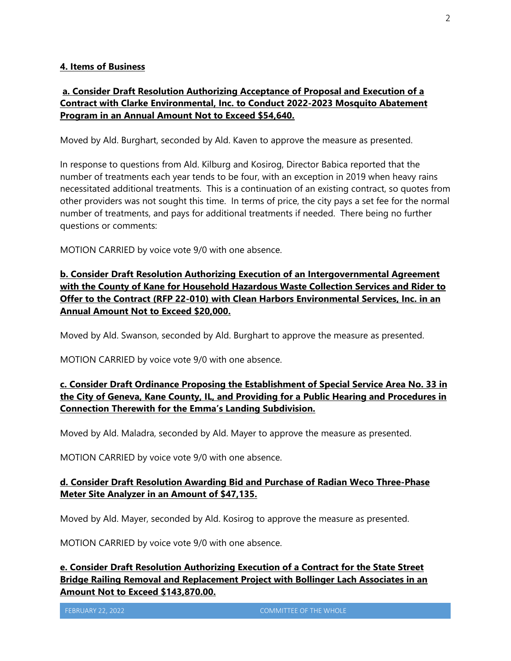#### **4. Items of Business**

# **a. Consider Draft Resolution Authorizing Acceptance of Proposal and Execution of a Contract with Clarke Environmental, Inc. to Conduct 2022-2023 Mosquito Abatement Program in an Annual Amount Not to Exceed \$54,640.**

Moved by Ald. Burghart, seconded by Ald. Kaven to approve the measure as presented.

In response to questions from Ald. Kilburg and Kosirog, Director Babica reported that the number of treatments each year tends to be four, with an exception in 2019 when heavy rains necessitated additional treatments. This is a continuation of an existing contract, so quotes from other providers was not sought this time. In terms of price, the city pays a set fee for the normal number of treatments, and pays for additional treatments if needed. There being no further questions or comments:

MOTION CARRIED by voice vote 9/0 with one absence.

**b. Consider Draft Resolution Authorizing Execution of an Intergovernmental Agreement with the County of Kane for Household Hazardous Waste Collection Services and Rider to Offer to the Contract (RFP 22-010) with Clean Harbors Environmental Services, Inc. in an Annual Amount Not to Exceed \$20,000.** 

Moved by Ald. Swanson, seconded by Ald. Burghart to approve the measure as presented.

MOTION CARRIED by voice vote 9/0 with one absence.

# **c. Consider Draft Ordinance Proposing the Establishment of Special Service Area No. 33 in the City of Geneva, Kane County, IL, and Providing for a Public Hearing and Procedures in Connection Therewith for the Emma's Landing Subdivision.**

Moved by Ald. Maladra, seconded by Ald. Mayer to approve the measure as presented.

MOTION CARRIED by voice vote 9/0 with one absence.

### **d. Consider Draft Resolution Awarding Bid and Purchase of Radian Weco Three-Phase Meter Site Analyzer in an Amount of \$47,135.**

Moved by Ald. Mayer, seconded by Ald. Kosirog to approve the measure as presented.

MOTION CARRIED by voice vote 9/0 with one absence.

**e. Consider Draft Resolution Authorizing Execution of a Contract for the State Street Bridge Railing Removal and Replacement Project with Bollinger Lach Associates in an Amount Not to Exceed \$143,870.00.**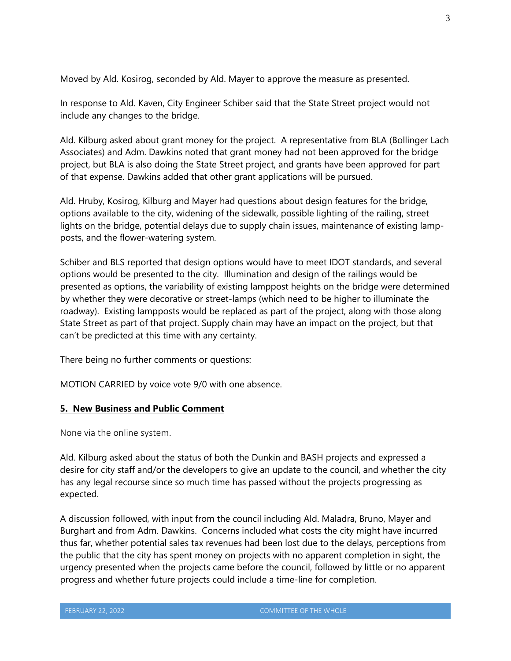Moved by Ald. Kosirog, seconded by Ald. Mayer to approve the measure as presented.

In response to Ald. Kaven, City Engineer Schiber said that the State Street project would not include any changes to the bridge.

Ald. Kilburg asked about grant money for the project. A representative from BLA (Bollinger Lach Associates) and Adm. Dawkins noted that grant money had not been approved for the bridge project, but BLA is also doing the State Street project, and grants have been approved for part of that expense. Dawkins added that other grant applications will be pursued.

Ald. Hruby, Kosirog, Kilburg and Mayer had questions about design features for the bridge, options available to the city, widening of the sidewalk, possible lighting of the railing, street lights on the bridge, potential delays due to supply chain issues, maintenance of existing lampposts, and the flower-watering system.

Schiber and BLS reported that design options would have to meet IDOT standards, and several options would be presented to the city. Illumination and design of the railings would be presented as options, the variability of existing lamppost heights on the bridge were determined by whether they were decorative or street-lamps (which need to be higher to illuminate the roadway). Existing lampposts would be replaced as part of the project, along with those along State Street as part of that project. Supply chain may have an impact on the project, but that can't be predicted at this time with any certainty.

There being no further comments or questions:

MOTION CARRIED by voice vote 9/0 with one absence.

### **5. New Business and Public Comment**

None via the online system.

Ald. Kilburg asked about the status of both the Dunkin and BASH projects and expressed a desire for city staff and/or the developers to give an update to the council, and whether the city has any legal recourse since so much time has passed without the projects progressing as expected.

A discussion followed, with input from the council including Ald. Maladra, Bruno, Mayer and Burghart and from Adm. Dawkins. Concerns included what costs the city might have incurred thus far, whether potential sales tax revenues had been lost due to the delays, perceptions from the public that the city has spent money on projects with no apparent completion in sight, the urgency presented when the projects came before the council, followed by little or no apparent progress and whether future projects could include a time-line for completion.